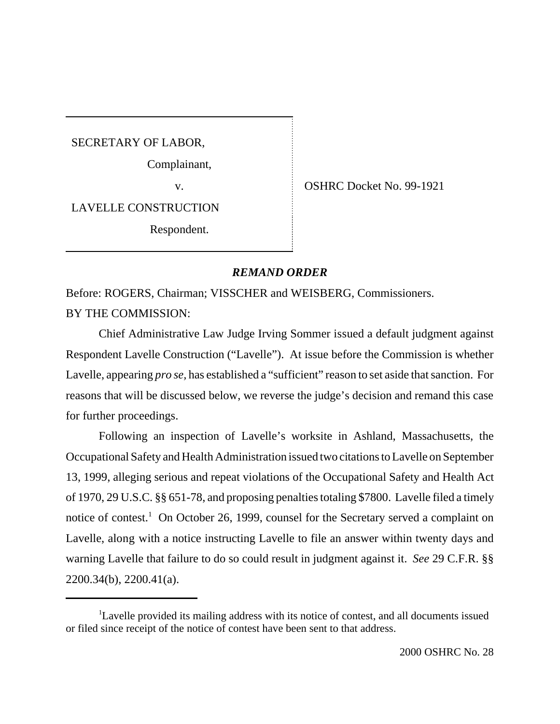SECRETARY OF LABOR,

Complainant,

v. SHRC Docket No. 99-1921

LAVELLE CONSTRUCTION

Respondent.

## *REMAND ORDER*

Before: ROGERS, Chairman; VISSCHER and WEISBERG, Commissioners. BY THE COMMISSION:

Chief Administrative Law Judge Irving Sommer issued a default judgment against Respondent Lavelle Construction ("Lavelle"). At issue before the Commission is whether Lavelle, appearing *pro se,* has established a "sufficient" reason to set aside that sanction. For reasons that will be discussed below, we reverse the judge's decision and remand this case for further proceedings.

Following an inspection of Lavelle's worksite in Ashland, Massachusetts, the Occupational Safety and Health Administration issued two citations to Lavelle on September 13, 1999, alleging serious and repeat violations of the Occupational Safety and Health Act of 1970, 29 U.S.C. §§ 651-78, and proposing penalties totaling \$7800. Lavelle filed a timely notice of contest.<sup>1</sup> On October 26, 1999, counsel for the Secretary served a complaint on Lavelle, along with a notice instructing Lavelle to file an answer within twenty days and warning Lavelle that failure to do so could result in judgment against it. *See* 29 C.F.R. §§ 2200.34(b), 2200.41(a).

<sup>&</sup>lt;sup>1</sup>Lavelle provided its mailing address with its notice of contest, and all documents issued or filed since receipt of the notice of contest have been sent to that address.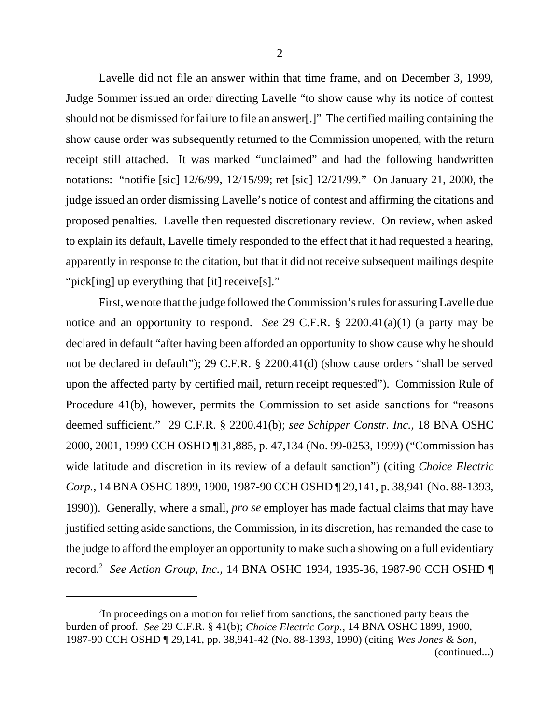Lavelle did not file an answer within that time frame, and on December 3, 1999, Judge Sommer issued an order directing Lavelle "to show cause why its notice of contest should not be dismissed for failure to file an answer[.]" The certified mailing containing the show cause order was subsequently returned to the Commission unopened, with the return receipt still attached. It was marked "unclaimed" and had the following handwritten notations: "notifie [sic] 12/6/99, 12/15/99; ret [sic] 12/21/99." On January 21, 2000, the judge issued an order dismissing Lavelle's notice of contest and affirming the citations and proposed penalties. Lavelle then requested discretionary review. On review, when asked to explain its default, Lavelle timely responded to the effect that it had requested a hearing, apparently in response to the citation, but that it did not receive subsequent mailings despite "pick[ing] up everything that [it] receive[s]."

First, we note that the judge followed the Commission's rules for assuring Lavelle due notice and an opportunity to respond. *See* 29 C.F.R. § 2200.41(a)(1) (a party may be declared in default "after having been afforded an opportunity to show cause why he should not be declared in default"); 29 C.F.R. § 2200.41(d) (show cause orders "shall be served upon the affected party by certified mail, return receipt requested"). Commission Rule of Procedure 41(b), however, permits the Commission to set aside sanctions for "reasons deemed sufficient." 29 C.F.R. § 2200.41(b); *see Schipper Constr. Inc.,* 18 BNA OSHC 2000, 2001, 1999 CCH OSHD ¶ 31,885, p. 47,134 (No. 99-0253, 1999) ("Commission has wide latitude and discretion in its review of a default sanction") (citing *Choice Electric Corp.,* 14 BNA OSHC 1899, 1900, 1987-90 CCH OSHD ¶ 29,141, p. 38,941 (No. 88-1393, 1990)). Generally, where a small, *pro se* employer has made factual claims that may have justified setting aside sanctions, the Commission, in its discretion, has remanded the case to the judge to afford the employer an opportunity to make such a showing on a full evidentiary record.2 *See Action Group, Inc.,* 14 BNA OSHC 1934, 1935-36, 1987-90 CCH OSHD ¶

<sup>&</sup>lt;sup>2</sup>In proceedings on a motion for relief from sanctions, the sanctioned party bears the burden of proof. *See* 29 C.F.R. § 41(b); *Choice Electric Corp.,* 14 BNA OSHC 1899, 1900, 1987-90 CCH OSHD ¶ 29,141, pp. 38,941-42 (No. 88-1393, 1990) (citing *Wes Jones & Son,* (continued...)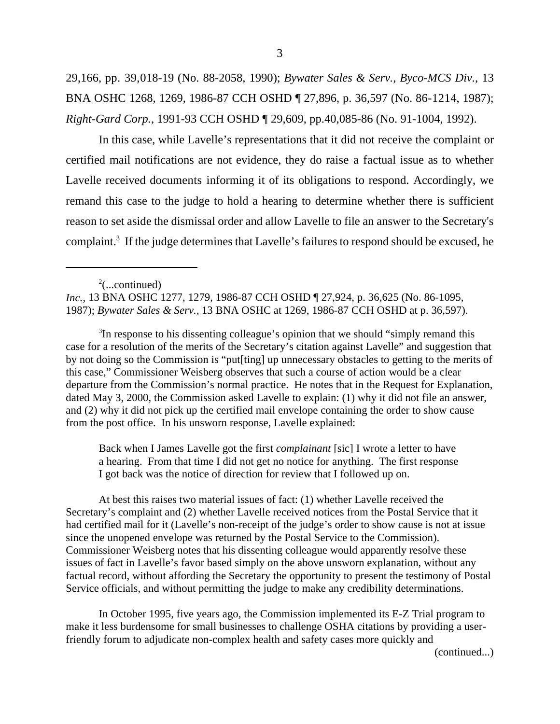29,166, pp. 39,018-19 (No. 88-2058, 1990); *Bywater Sales & Serv., Byco-MCS Div.,* 13 BNA OSHC 1268, 1269, 1986-87 CCH OSHD ¶ 27,896, p. 36,597 (No. 86-1214, 1987); *Right-Gard Corp.,* 1991-93 CCH OSHD ¶ 29,609, pp.40,085-86 (No. 91-1004, 1992).

In this case, while Lavelle's representations that it did not receive the complaint or certified mail notifications are not evidence, they do raise a factual issue as to whether Lavelle received documents informing it of its obligations to respond. Accordingly, we remand this case to the judge to hold a hearing to determine whether there is sufficient reason to set aside the dismissal order and allow Lavelle to file an answer to the Secretary's complaint.<sup>3</sup> If the judge determines that Lavelle's failures to respond should be excused, he

*Inc.,* 13 BNA OSHC 1277, 1279, 1986-87 CCH OSHD ¶ 27,924, p. 36,625 (No. 86-1095, 1987); *Bywater Sales & Serv.,* 13 BNA OSHC at 1269, 1986-87 CCH OSHD at p. 36,597).

<sup>3</sup>In response to his dissenting colleague's opinion that we should "simply remand this case for a resolution of the merits of the Secretary's citation against Lavelle" and suggestion that by not doing so the Commission is "put[ting] up unnecessary obstacles to getting to the merits of this case," Commissioner Weisberg observes that such a course of action would be a clear departure from the Commission's normal practice. He notes that in the Request for Explanation, dated May 3, 2000, the Commission asked Lavelle to explain: (1) why it did not file an answer, and (2) why it did not pick up the certified mail envelope containing the order to show cause from the post office. In his unsworn response, Lavelle explained:

Back when I James Lavelle got the first *complainant* [sic] I wrote a letter to have a hearing. From that time I did not get no notice for anything. The first response I got back was the notice of direction for review that I followed up on.

At best this raises two material issues of fact: (1) whether Lavelle received the Secretary's complaint and (2) whether Lavelle received notices from the Postal Service that it had certified mail for it (Lavelle's non-receipt of the judge's order to show cause is not at issue since the unopened envelope was returned by the Postal Service to the Commission). Commissioner Weisberg notes that his dissenting colleague would apparently resolve these issues of fact in Lavelle's favor based simply on the above unsworn explanation, without any factual record, without affording the Secretary the opportunity to present the testimony of Postal Service officials, and without permitting the judge to make any credibility determinations.

In October 1995, five years ago, the Commission implemented its E-Z Trial program to make it less burdensome for small businesses to challenge OSHA citations by providing a userfriendly forum to adjudicate non-complex health and safety cases more quickly and

(continued...)

 $2$ (...continued)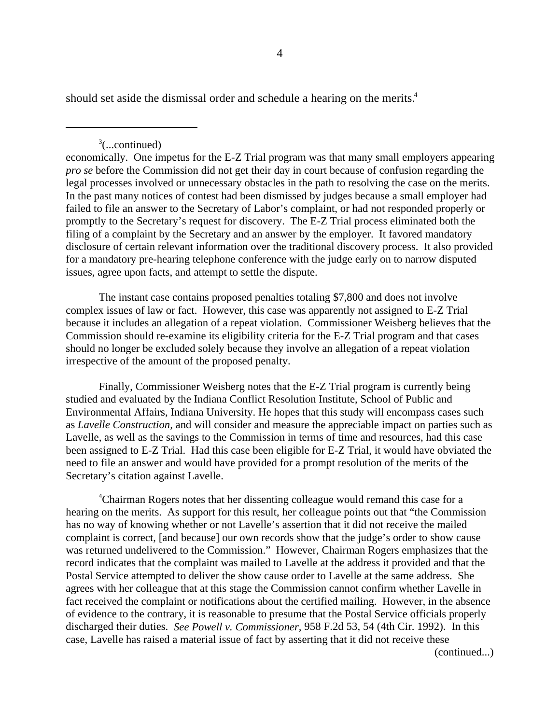should set aside the dismissal order and schedule a hearing on the merits.<sup>4</sup>

 $3$ (...continued)

economically. One impetus for the E-Z Trial program was that many small employers appearing *pro se* before the Commission did not get their day in court because of confusion regarding the legal processes involved or unnecessary obstacles in the path to resolving the case on the merits. In the past many notices of contest had been dismissed by judges because a small employer had failed to file an answer to the Secretary of Labor's complaint, or had not responded properly or promptly to the Secretary's request for discovery. The E-Z Trial process eliminated both the filing of a complaint by the Secretary and an answer by the employer. It favored mandatory disclosure of certain relevant information over the traditional discovery process. It also provided for a mandatory pre-hearing telephone conference with the judge early on to narrow disputed issues, agree upon facts, and attempt to settle the dispute.

The instant case contains proposed penalties totaling \$7,800 and does not involve complex issues of law or fact. However, this case was apparently not assigned to E-Z Trial because it includes an allegation of a repeat violation. Commissioner Weisberg believes that the Commission should re-examine its eligibility criteria for the E-Z Trial program and that cases should no longer be excluded solely because they involve an allegation of a repeat violation irrespective of the amount of the proposed penalty.

Finally, Commissioner Weisberg notes that the E-Z Trial program is currently being studied and evaluated by the Indiana Conflict Resolution Institute, School of Public and Environmental Affairs, Indiana University. He hopes that this study will encompass cases such as *Lavelle Construction,* and will consider and measure the appreciable impact on parties such as Lavelle, as well as the savings to the Commission in terms of time and resources, had this case been assigned to E-Z Trial. Had this case been eligible for E-Z Trial, it would have obviated the need to file an answer and would have provided for a prompt resolution of the merits of the Secretary's citation against Lavelle.

<sup>4</sup>Chairman Rogers notes that her dissenting colleague would remand this case for a hearing on the merits. As support for this result, her colleague points out that "the Commission has no way of knowing whether or not Lavelle's assertion that it did not receive the mailed complaint is correct, [and because] our own records show that the judge's order to show cause was returned undelivered to the Commission." However, Chairman Rogers emphasizes that the record indicates that the complaint was mailed to Lavelle at the address it provided and that the Postal Service attempted to deliver the show cause order to Lavelle at the same address. She agrees with her colleague that at this stage the Commission cannot confirm whether Lavelle in fact received the complaint or notifications about the certified mailing. However, in the absence of evidence to the contrary, it is reasonable to presume that the Postal Service officials properly discharged their duties. *See Powell v. Commissioner,* 958 F.2d 53, 54 (4th Cir. 1992). In this case, Lavelle has raised a material issue of fact by asserting that it did not receive these

(continued...)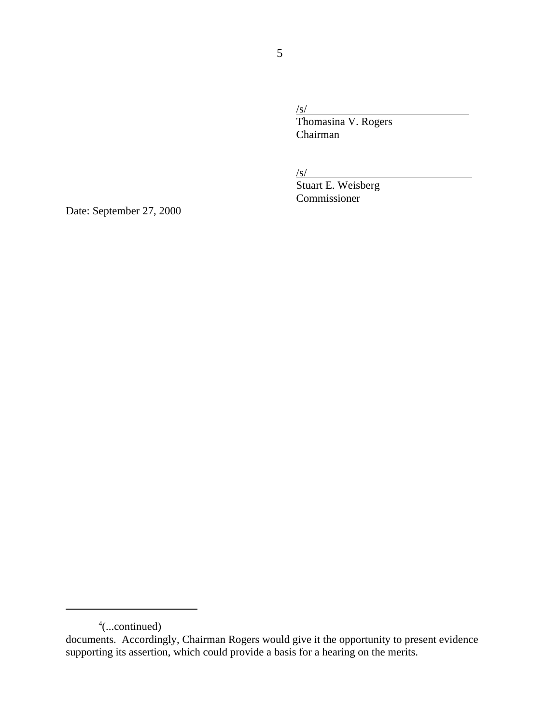/s/ Thomasina V. Rogers Chairman

 $\frac{S}{S}$ 

Stuart E. Weisberg Commissioner

Date: September 27, 2000

<sup>4</sup> (...continued)

documents. Accordingly, Chairman Rogers would give it the opportunity to present evidence supporting its assertion, which could provide a basis for a hearing on the merits.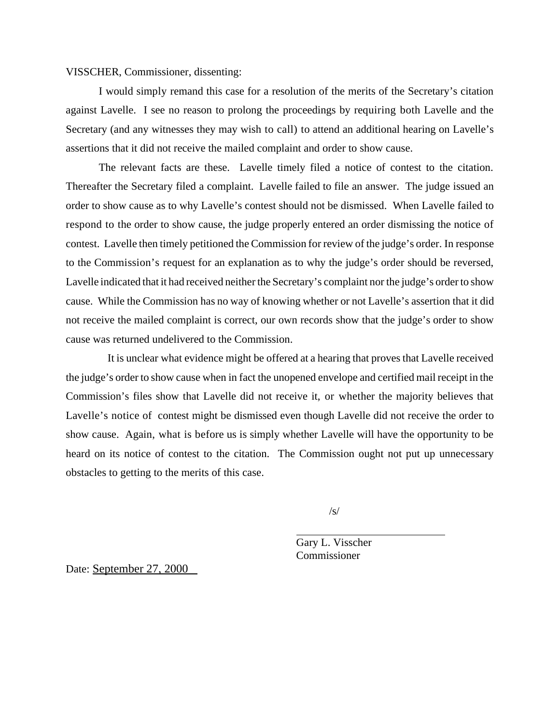VISSCHER, Commissioner, dissenting:

I would simply remand this case for a resolution of the merits of the Secretary's citation against Lavelle. I see no reason to prolong the proceedings by requiring both Lavelle and the Secretary (and any witnesses they may wish to call) to attend an additional hearing on Lavelle's assertions that it did not receive the mailed complaint and order to show cause.

The relevant facts are these. Lavelle timely filed a notice of contest to the citation. Thereafter the Secretary filed a complaint. Lavelle failed to file an answer. The judge issued an order to show cause as to why Lavelle's contest should not be dismissed. When Lavelle failed to respond to the order to show cause, the judge properly entered an order dismissing the notice of contest. Lavelle then timely petitioned the Commission for review of the judge's order. In response to the Commission's request for an explanation as to why the judge's order should be reversed, Lavelle indicated that it had received neither the Secretary's complaint nor the judge's order to show cause. While the Commission has no way of knowing whether or not Lavelle's assertion that it did not receive the mailed complaint is correct, our own records show that the judge's order to show cause was returned undelivered to the Commission.

 It is unclear what evidence might be offered at a hearing that proves that Lavelle received the judge's order to show cause when in fact the unopened envelope and certified mail receipt in the Commission's files show that Lavelle did not receive it, or whether the majority believes that Lavelle's notice of contest might be dismissed even though Lavelle did not receive the order to show cause. Again, what is before us is simply whether Lavelle will have the opportunity to be heard on its notice of contest to the citation. The Commission ought not put up unnecessary obstacles to getting to the merits of this case.

 $\sqrt{s}$ 

Gary L. Visscher Commissioner

Date: September 27, 2000